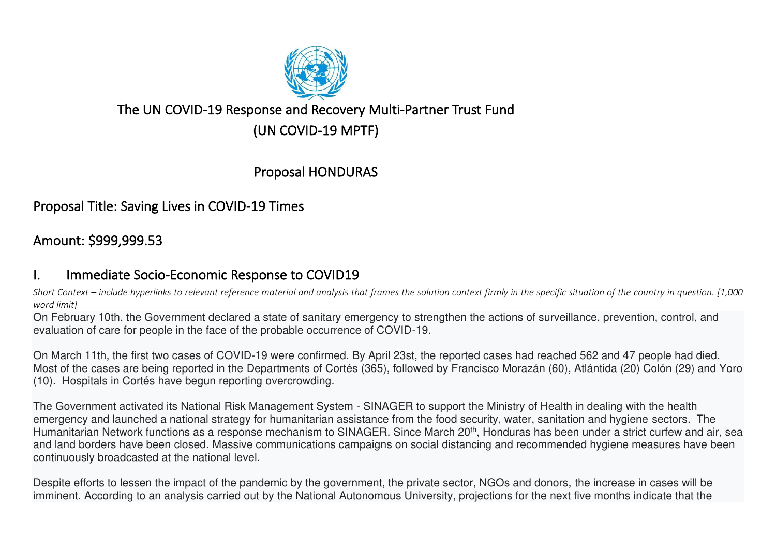

## The UN COVID-19 Response and Recovery Multi-Partner Trust Fund

(UN COVID-19 MPTF)

Proposal HONDURAS

Proposal Title: Saving Lives in COVID-19 Times

# Amount: \$999,999.53

## I. Immediate Socio-Economic Response to COVID19

*Short Context – include hyperlinks to relevant reference material and analysis that frames the solution context firmly in the specific situation of the country in question. [1,000 word limit]* 

On February 10th, the Government declared a state of sanitary emergency to strengthen the actions of surveillance, prevention, control, and evaluation of care for people in the face of the probable occurrence of COVID-19.

On March 11th, the first two cases of COVID-19 were confirmed. By April 23st, the reported cases had reached 562 and 47 people had died. Most of the cases are being reported in the Departments of Cortés (365), followed by Francisco Morazán (60), Atlántida (20) Colón (29) and Yoro (10). Hospitals in Cortés have begun reporting overcrowding.

The Government activated its National Risk Management System - SINAGER to support the Ministry of Health in dealing with the health emergency and launched a national strategy for humanitarian assistance from the food security, water, sanitation and hygiene sectors. The Humanitarian Network functions as a response mechanism to SINAGER. Since March 20<sup>th</sup>, Honduras has been under a strict curfew and air, sea and land borders have been closed. Massive communications campaigns on social distancing and recommended hygiene measures have been continuously broadcasted at the national level.

Despite efforts to lessen the impact of the pandemic by the government, the private sector, NGOs and donors, the increase in cases will be imminent. According to an analysis carried out by the National Autonomous University, projections for the next five months indicate that the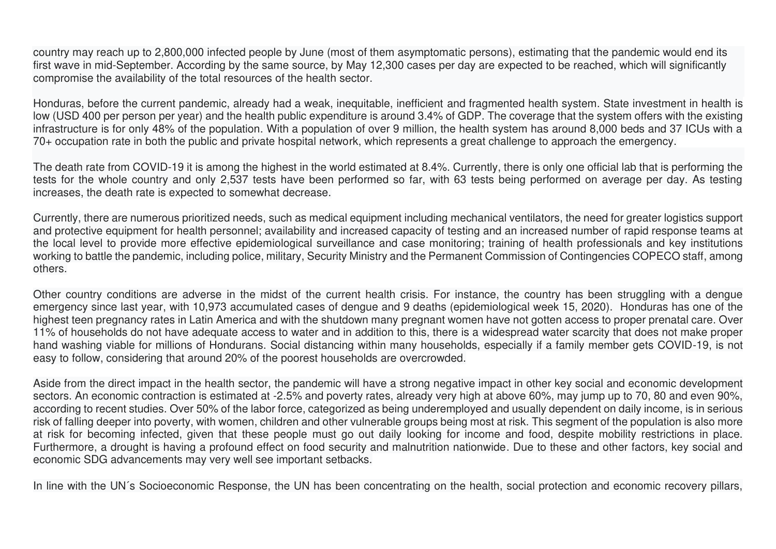country may reach up to 2,800,000 infected people by June (most of them asymptomatic persons), estimating that the pandemic would end its first wave in mid-September. According by the same source, by May 12,300 cases per day are expected to be reached, which will significantly compromise the availability of the total resources of the health sector.

Honduras, before the current pandemic, already had a weak, inequitable, inefficient and fragmented health system. State investment in health is low (USD 400 per person per year) and the health public expenditure is around 3.4% of GDP. The coverage that the system offers with the existing infrastructure is for only 48% of the population. With a population of over 9 million, the health system has around 8,000 beds and 37 ICUs with a 70+ occupation rate in both the public and private hospital network, which represents a great challenge to approach the emergency.

The death rate from COVID-19 it is among the highest in the world estimated at 8.4%. Currently, there is only one official lab that is performing the tests for the whole country and only 2,537 tests have been performed so far, with 63 tests being performed on average per day. As testing increases, the death rate is expected to somewhat decrease.

Currently, there are numerous prioritized needs, such as medical equipment including mechanical ventilators, the need for greater logistics support and protective equipment for health personnel; availability and increased capacity of testing and an increased number of rapid response teams at the local level to provide more effective epidemiological surveillance and case monitoring; training of health professionals and key institutions working to battle the pandemic, including police, military, Security Ministry and the Permanent Commission of Contingencies COPECO staff, among others.

Other country conditions are adverse in the midst of the current health crisis. For instance, the country has been struggling with a dengue emergency since last year, with 10,973 accumulated cases of dengue and 9 deaths (epidemiological week 15, 2020). Honduras has one of the highest teen pregnancy rates in Latin America and with the shutdown many pregnant women have not gotten access to proper prenatal care. Over 11% of households do not have adequate access to water and in addition to this, there is a widespread water scarcity that does not make proper hand washing viable for millions of Hondurans. Social distancing within many households, especially if a family member gets COVID-19, is not easy to follow, considering that around 20% of the poorest households are overcrowded.

Aside from the direct impact in the health sector, the pandemic will have a strong negative impact in other key social and economic development sectors. An economic contraction is estimated at -2.5% and poverty rates, already very high at above 60%, may jump up to 70, 80 and even 90%, according to recent studies. Over 50% of the labor force, categorized as being underemployed and usually dependent on daily income, is in serious risk of falling deeper into poverty, with women, children and other vulnerable groups being most at risk. This segment of the population is also more at risk for becoming infected, given that these people must go out daily looking for income and food, despite mobility restrictions in place. Furthermore, a drought is having a profound effect on food security and malnutrition nationwide. Due to these and other factors, key social and economic SDG advancements may very well see important setbacks.

In line with the UN's Socioeconomic Response, the UN has been concentrating on the health, social protection and economic recovery pillars,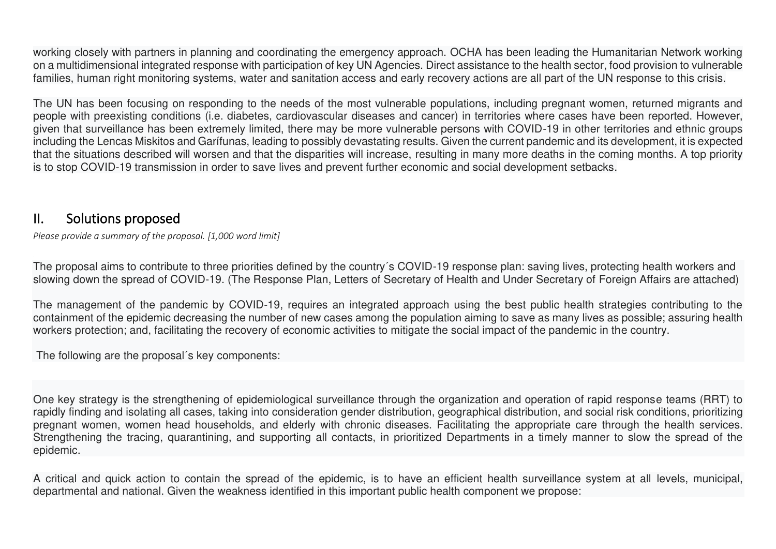working closely with partners in planning and coordinating the emergency approach. OCHA has been leading the Humanitarian Network working on a multidimensional integrated response with participation of key UN Agencies. Direct assistance to the health sector, food provision to vulnerable families, human right monitoring systems, water and sanitation access and early recovery actions are all part of the UN response to this crisis.

The UN has been focusing on responding to the needs of the most vulnerable populations, including pregnant women, returned migrants and people with preexisting conditions (i.e. diabetes, cardiovascular diseases and cancer) in territories where cases have been reported. However, given that surveillance has been extremely limited, there may be more vulnerable persons with COVID-19 in other territories and ethnic groups including the Lencas Miskitos and Garífunas, leading to possibly devastating results. Given the current pandemic and its development, it is expected that the situations described will worsen and that the disparities will increase, resulting in many more deaths in the coming months. A top priority is to stop COVID-19 transmission in order to save lives and prevent further economic and social development setbacks.

#### II. Solutions proposed

*Please provide a summary of the proposal. [1,000 word limit]* 

The proposal aims to contribute to three priorities defined by the country´s COVID-19 response plan: saving lives, protecting health workers and slowing down the spread of COVID-19. (The Response Plan, Letters of Secretary of Health and Under Secretary of Foreign Affairs are attached)

The management of the pandemic by COVID-19, requires an integrated approach using the best public health strategies contributing to the containment of the epidemic decreasing the number of new cases among the population aiming to save as many lives as possible; assuring health workers protection; and, facilitating the recovery of economic activities to mitigate the social impact of the pandemic in the country.

The following are the proposal´s key components:

One key strategy is the strengthening of epidemiological surveillance through the organization and operation of rapid response teams (RRT) to rapidly finding and isolating all cases, taking into consideration gender distribution, geographical distribution, and social risk conditions, prioritizing pregnant women, women head households, and elderly with chronic diseases. Facilitating the appropriate care through the health services. Strengthening the tracing, quarantining, and supporting all contacts, in prioritized Departments in a timely manner to slow the spread of the epidemic.

A critical and quick action to contain the spread of the epidemic, is to have an efficient health surveillance system at all levels, municipal, departmental and national. Given the weakness identified in this important public health component we propose: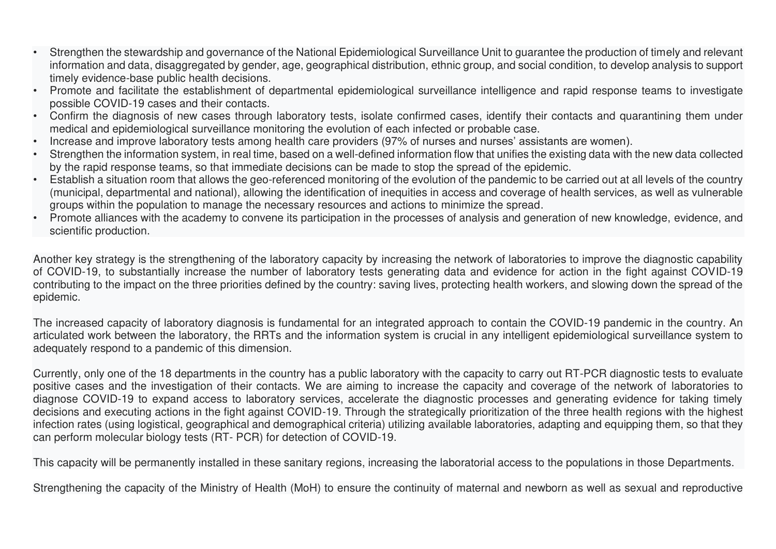- Strengthen the stewardship and governance of the National Epidemiological Surveillance Unit to guarantee the production of timely and relevant information and data, disaggregated by gender, age, geographical distribution, ethnic group, and social condition, to develop analysis to support timely evidence-base public health decisions.
- Promote and facilitate the establishment of departmental epidemiological surveillance intelligence and rapid response teams to investigate possible COVID-19 cases and their contacts.
- Confirm the diagnosis of new cases through laboratory tests, isolate confirmed cases, identify their contacts and quarantining them under medical and epidemiological surveillance monitoring the evolution of each infected or probable case.
- Increase and improve laboratory tests among health care providers (97% of nurses and nurses' assistants are women).
- Strengthen the information system, in real time, based on a well-defined information flow that unifies the existing data with the new data collected by the rapid response teams, so that immediate decisions can be made to stop the spread of the epidemic.
- Establish a situation room that allows the geo-referenced monitoring of the evolution of the pandemic to be carried out at all levels of the country (municipal, departmental and national), allowing the identification of inequities in access and coverage of health services, as well as vulnerable groups within the population to manage the necessary resources and actions to minimize the spread.
- Promote alliances with the academy to convene its participation in the processes of analysis and generation of new knowledge, evidence, and scientific production.

Another key strategy is the strengthening of the laboratory capacity by increasing the network of laboratories to improve the diagnostic capability of COVID-19, to substantially increase the number of laboratory tests generating data and evidence for action in the fight against COVID-19 contributing to the impact on the three priorities defined by the country: saving lives, protecting health workers, and slowing down the spread of the epidemic.

The increased capacity of laboratory diagnosis is fundamental for an integrated approach to contain the COVID-19 pandemic in the country. An articulated work between the laboratory, the RRTs and the information system is crucial in any intelligent epidemiological surveillance system to adequately respond to a pandemic of this dimension.

Currently, only one of the 18 departments in the country has a public laboratory with the capacity to carry out RT-PCR diagnostic tests to evaluate positive cases and the investigation of their contacts. We are aiming to increase the capacity and coverage of the network of laboratories to diagnose COVID-19 to expand access to laboratory services, accelerate the diagnostic processes and generating evidence for taking timely decisions and executing actions in the fight against COVID-19. Through the strategically prioritization of the three health regions with the highest infection rates (using logistical, geographical and demographical criteria) utilizing available laboratories, adapting and equipping them, so that they can perform molecular biology tests (RT- PCR) for detection of COVID-19.

This capacity will be permanently installed in these sanitary regions, increasing the laboratorial access to the populations in those Departments.

Strengthening the capacity of the Ministry of Health (MoH) to ensure the continuity of maternal and newborn as well as sexual and reproductive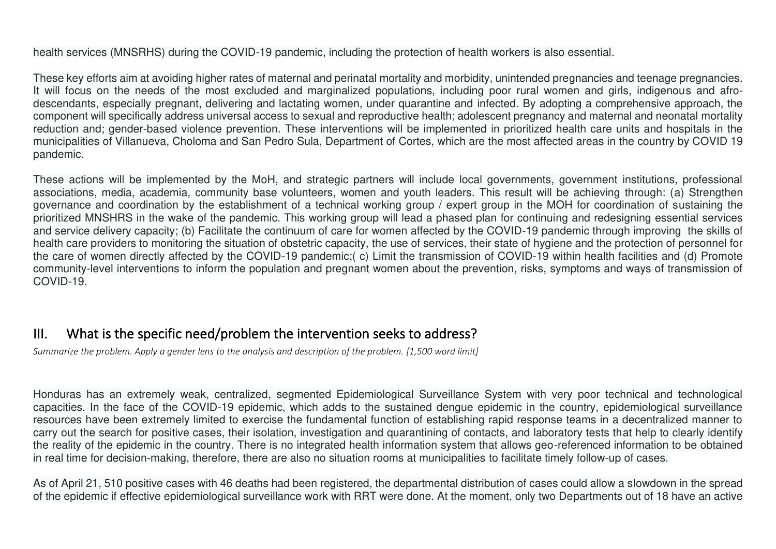#### health services (MNSRHS) during the COVID-19 pandemic, including the protection of health workers is also essential.

These key efforts aim at avoiding higher rates of maternal and perinatal mortality and morbidity, unintended pregnancies and teenage pregnancies. It will focus on the needs of the most excluded and marginalized populations, including poor rural women and girls, indigenous and afrodescendants, especially pregnant, delivering and lactating women, under quarantine and infected. By adopting a comprehensive approach, the component will specifically address universal access to sexual and reproductive health; adolescent pregnancy and maternal and neonatal mortality reduction and; gender-based violence prevention. These interventions will be implemented in prioritized health care units and hospitals in the municipalities of Villanueva, Choloma and San Pedro Sula, Department of Cortes, which are the most affected areas in the country by COVID 19 pandemic.

These actions will be implemented by the MoH, and strategic partners will include local governments, government institutions, professional associations, media, academia, community base volunteers, women and youth leaders. This result will be achieving through: (a) Strengthen governance and coordination by the establishment of a technical working group / expert group in the MOH for coordination of sustaining the prioritized MNSHRS in the wake of the pandemic. This working group will lead a phased plan for continuing and redesigning essential services and service delivery capacity; (b) Facilitate the continuum of care for women affected by the COVID-19 pandemic through improving the skills of health care providers to monitoring the situation of obstetric capacity, the use of services, their state of hygiene and the protection of personnel for the care of women directly affected by the COVID-19 pandemic;( c) Limit the transmission of COVID-19 within health facilities and (d) Promote community-level interventions to inform the population and pregnant women about the prevention, risks, symptoms and ways of transmission of COVID-19.

## III. What is the specific need/problem the intervention seeks to address?

*Summarize the problem. [Apply a gender lens](https://www.unwomen.org/en/news/stories/2020/3/news-checklist-for-covid-19-response-by-ded-regner) to the analysis and description of the problem. [1,500 word limit]* 

Honduras has an extremely weak, centralized, segmented Epidemiological Surveillance System with very poor technical and technological capacities. In the face of the COVID-19 epidemic, which adds to the sustained dengue epidemic in the country, epidemiological surveillance resources have been extremely limited to exercise the fundamental function of establishing rapid response teams in a decentralized manner to carry out the search for positive cases, their isolation, investigation and quarantining of contacts, and laboratory tests that help to clearly identify the reality of the epidemic in the country. There is no integrated health information system that allows geo-referenced information to be obtained in real time for decision-making, therefore, there are also no situation rooms at municipalities to facilitate timely follow-up of cases.

As of April 21, 510 positive cases with 46 deaths had been registered, the departmental distribution of cases could allow a slowdown in the spread of the epidemic if effective epidemiological surveillance work with RRT were done. At the moment, only two Departments out of 18 have an active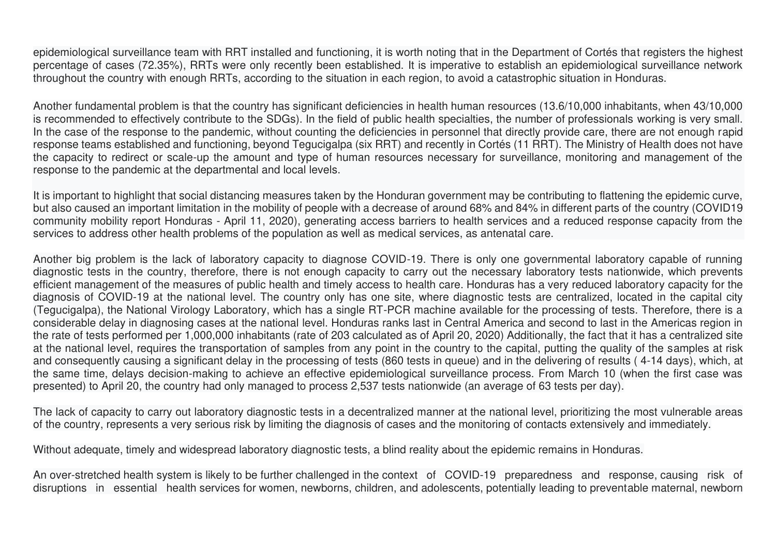epidemiological surveillance team with RRT installed and functioning, it is worth noting that in the Department of Cortés that registers the highest percentage of cases (72.35%), RRTs were only recently been established. It is imperative to establish an epidemiological surveillance network throughout the country with enough RRTs, according to the situation in each region, to avoid a catastrophic situation in Honduras.

Another fundamental problem is that the country has significant deficiencies in health human resources (13.6/10,000 inhabitants, when 43/10,000 is recommended to effectively contribute to the SDGs). In the field of public health specialties, the number of professionals working is very small. In the case of the response to the pandemic, without counting the deficiencies in personnel that directly provide care, there are not enough rapid response teams established and functioning, beyond Tegucigalpa (six RRT) and recently in Cortés (11 RRT). The Ministry of Health does not have the capacity to redirect or scale-up the amount and type of human resources necessary for surveillance, monitoring and management of the response to the pandemic at the departmental and local levels.

It is important to highlight that social distancing measures taken by the Honduran government may be contributing to flattening the epidemic curve, but also caused an important limitation in the mobility of people with a decrease of around 68% and 84% in different parts of the country (COVID19 community mobility report Honduras - April 11, 2020), generating access barriers to health services and a reduced response capacity from the services to address other health problems of the population as well as medical services, as antenatal care.

Another big problem is the lack of laboratory capacity to diagnose COVID-19. There is only one governmental laboratory capable of running diagnostic tests in the country, therefore, there is not enough capacity to carry out the necessary laboratory tests nationwide, which prevents efficient management of the measures of public health and timely access to health care. Honduras has a very reduced laboratory capacity for the diagnosis of COVID-19 at the national level. The country only has one site, where diagnostic tests are centralized, located in the capital city (Tegucigalpa), the National Virology Laboratory, which has a single RT-PCR machine available for the processing of tests. Therefore, there is a considerable delay in diagnosing cases at the national level. Honduras ranks last in Central America and second to last in the Americas region in the rate of tests performed per 1,000,000 inhabitants (rate of 203 calculated as of April 20, 2020) Additionally, the fact that it has a centralized site at the national level, requires the transportation of samples from any point in the country to the capital, putting the quality of the samples at risk and consequently causing a significant delay in the processing of tests (860 tests in queue) and in the delivering of results ( 4-14 days), which, at the same time, delays decision-making to achieve an effective epidemiological surveillance process. From March 10 (when the first case was presented) to April 20, the country had only managed to process 2,537 tests nationwide (an average of 63 tests per day).

The lack of capacity to carry out laboratory diagnostic tests in a decentralized manner at the national level, prioritizing the most vulnerable areas of the country, represents a very serious risk by limiting the diagnosis of cases and the monitoring of contacts extensively and immediately.

Without adequate, timely and widespread laboratory diagnostic tests, a blind reality about the epidemic remains in Honduras.

An over-stretched health system is likely to be further challenged in the context of COVID-19 preparedness and response, causing risk of disruptions in essential health services for women, newborns, children, and adolescents, potentially leading to preventable maternal, newborn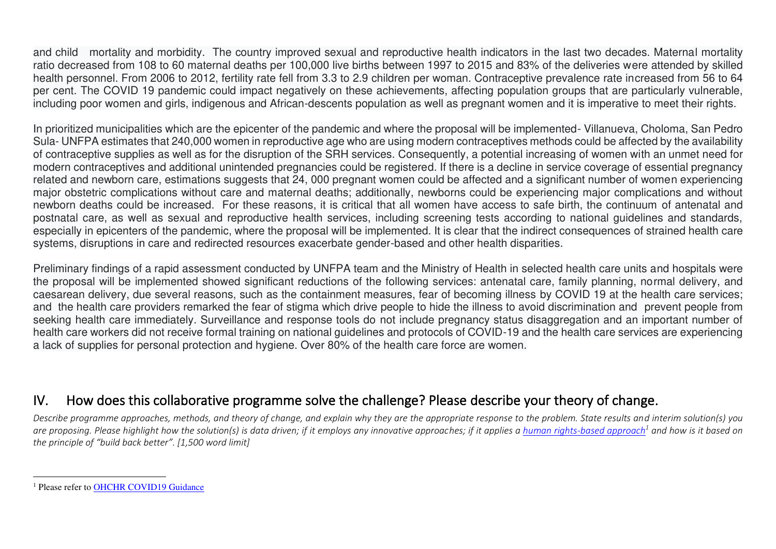and child mortality and morbidity. The country improved sexual and reproductive health indicators in the last two decades. Maternal mortality ratio decreased from 108 to 60 maternal deaths per 100,000 live births between 1997 to 2015 and 83% of the deliveries were attended by skilled health personnel. From 2006 to 2012, fertility rate fell from 3.3 to 2.9 children per woman. Contraceptive prevalence rate increased from 56 to 64 per cent. The COVID 19 pandemic could impact negatively on these achievements, affecting population groups that are particularly vulnerable, including poor women and girls, indigenous and African-descents population as well as pregnant women and it is imperative to meet their rights.

In prioritized municipalities which are the epicenter of the pandemic and where the proposal will be implemented- Villanueva, Choloma, San Pedro Sula- UNFPA estimates that 240,000 women in reproductive age who are using modern contraceptives methods could be affected by the availability of contraceptive supplies as well as for the disruption of the SRH services. Consequently, a potential increasing of women with an unmet need for modern contraceptives and additional unintended pregnancies could be registered. If there is a decline in service coverage of essential pregnancy related and newborn care, estimations suggests that 24, 000 pregnant women could be affected and a significant number of women experiencing major obstetric complications without care and maternal deaths; additionally, newborns could be experiencing major complications and without newborn deaths could be increased. For these reasons, it is critical that all women have access to safe birth, the continuum of antenatal and postnatal care, as well as sexual and reproductive health services, including screening tests according to national guidelines and standards, especially in epicenters of the pandemic, where the proposal will be implemented. It is clear that the indirect consequences of strained health care systems, disruptions in care and redirected resources exacerbate gender-based and other health disparities.

Preliminary findings of a rapid assessment conducted by UNFPA team and the Ministry of Health in selected health care units and hospitals were the proposal will be implemented showed significant reductions of the following services: antenatal care, family planning, normal delivery, and caesarean delivery, due several reasons, such as the containment measures, fear of becoming illness by COVID 19 at the health care services; and the health care providers remarked the fear of stigma which drive people to hide the illness to avoid discrimination and prevent people from seeking health care immediately. Surveillance and response tools do not include pregnancy status disaggregation and an important number of health care workers did not receive formal training on national guidelines and protocols of COVID-19 and the health care services are experiencing a lack of supplies for personal protection and hygiene. Over 80% of the health care force are women.

## IV. How does this collaborative programme solve the challenge? Please describe your theory of change.

*Describe programme approaches, methods, and theory of change, and explain why they are the appropriate response to the problem. State results and interim solution(s) you*  are proposing. Please highlight how the solution(s) is data driven; if it employs any innovative approaches; if it applies a <u>human rights-based approach<sup>1</sup></u> and how is it based on *the principle of "build back better". [1,500 word limit]* 

<sup>&</sup>lt;sup>1</sup> Please refer to **OHCHR COVID19 Guidance**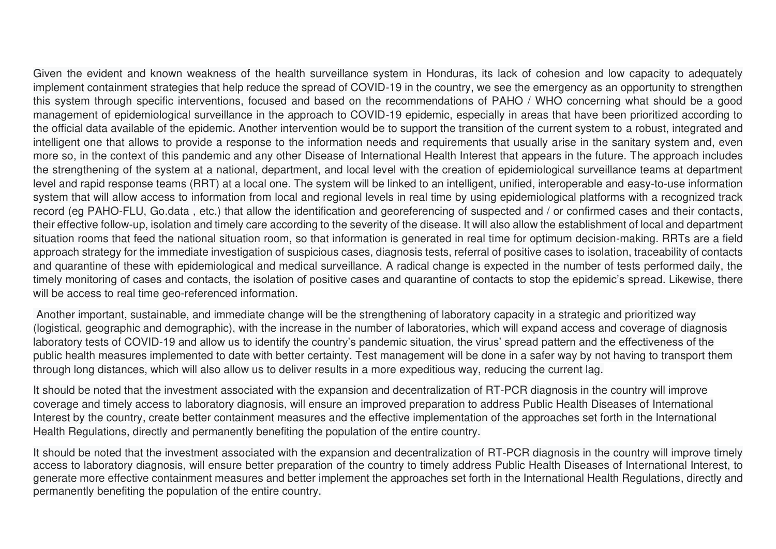Given the evident and known weakness of the health surveillance system in Honduras, its lack of cohesion and low capacity to adequately implement containment strategies that help reduce the spread of COVID-19 in the country, we see the emergency as an opportunity to strengthen this system through specific interventions, focused and based on the recommendations of PAHO / WHO concerning what should be a good management of epidemiological surveillance in the approach to COVID-19 epidemic, especially in areas that have been prioritized according to the official data available of the epidemic. Another intervention would be to support the transition of the current system to a robust, integrated and intelligent one that allows to provide a response to the information needs and requirements that usually arise in the sanitary system and, even more so, in the context of this pandemic and any other Disease of International Health Interest that appears in the future. The approach includes the strengthening of the system at a national, department, and local level with the creation of epidemiological surveillance teams at department level and rapid response teams (RRT) at a local one. The system will be linked to an intelligent, unified, interoperable and easy-to-use information system that will allow access to information from local and regional levels in real time by using epidemiological platforms with a recognized track record (eg PAHO-FLU, Go.data , etc.) that allow the identification and georeferencing of suspected and / or confirmed cases and their contacts, their effective follow-up, isolation and timely care according to the severity of the disease. It will also allow the establishment of local and department situation rooms that feed the national situation room, so that information is generated in real time for optimum decision-making. RRTs are a field approach strategy for the immediate investigation of suspicious cases, diagnosis tests, referral of positive cases to isolation, traceability of contacts and quarantine of these with epidemiological and medical surveillance. A radical change is expected in the number of tests performed daily, the timely monitoring of cases and contacts, the isolation of positive cases and quarantine of contacts to stop the epidemic's spread. Likewise, there will be access to real time geo-referenced information.

 Another important, sustainable, and immediate change will be the strengthening of laboratory capacity in a strategic and prioritized way (logistical, geographic and demographic), with the increase in the number of laboratories, which will expand access and coverage of diagnosis laboratory tests of COVID-19 and allow us to identify the country's pandemic situation, the virus' spread pattern and the effectiveness of the public health measures implemented to date with better certainty. Test management will be done in a safer way by not having to transport them through long distances, which will also allow us to deliver results in a more expeditious way, reducing the current lag.

It should be noted that the investment associated with the expansion and decentralization of RT-PCR diagnosis in the country will improve coverage and timely access to laboratory diagnosis, will ensure an improved preparation to address Public Health Diseases of International Interest by the country, create better containment measures and the effective implementation of the approaches set forth in the International Health Regulations, directly and permanently benefiting the population of the entire country.

It should be noted that the investment associated with the expansion and decentralization of RT-PCR diagnosis in the country will improve timely access to laboratory diagnosis, will ensure better preparation of the country to timely address Public Health Diseases of International Interest, to generate more effective containment measures and better implement the approaches set forth in the International Health Regulations, directly and permanently benefiting the population of the entire country.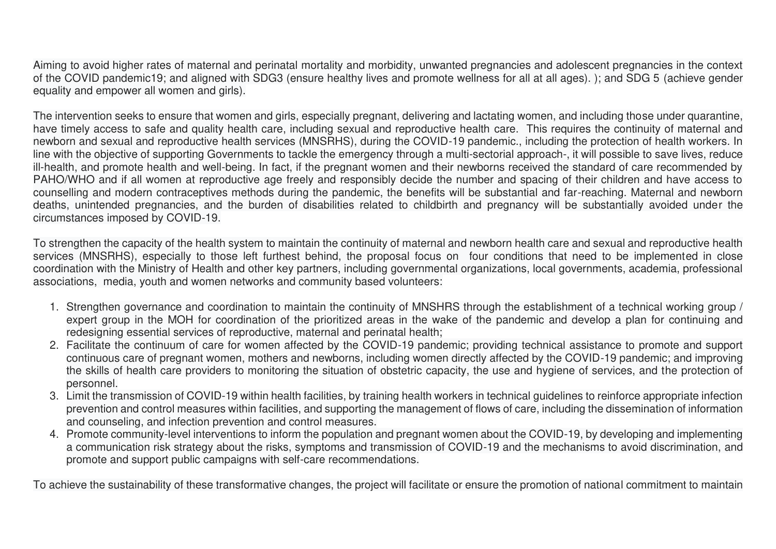Aiming to avoid higher rates of maternal and perinatal mortality and morbidity, unwanted pregnancies and adolescent pregnancies in the context of the COVID pandemic19; and aligned with SDG3 (ensure healthy lives and promote wellness for all at all ages). ); and SDG 5 (achieve gender equality and empower all women and girls).

The intervention seeks to ensure that women and girls, especially pregnant, delivering and lactating women, and including those under quarantine, have timely access to safe and quality health care, including sexual and reproductive health care. This requires the continuity of maternal and newborn and sexual and reproductive health services (MNSRHS), during the COVID-19 pandemic., including the protection of health workers. In line with the objective of supporting Governments to tackle the emergency through a multi-sectorial approach-, it will possible to save lives, reduce ill-health, and promote health and well-being. In fact, if the pregnant women and their newborns received the standard of care recommended by PAHO/WHO and if all women at reproductive age freely and responsibly decide the number and spacing of their children and have access to counselling and modern contraceptives methods during the pandemic, the benefits will be substantial and far-reaching. Maternal and newborn deaths, unintended pregnancies, and the burden of disabilities related to childbirth and pregnancy will be substantially avoided under the circumstances imposed by COVID-19.

To strengthen the capacity of the health system to maintain the continuity of maternal and newborn health care and sexual and reproductive health services (MNSRHS), especially to those left furthest behind, the proposal focus on four conditions that need to be implemented in close coordination with the Ministry of Health and other key partners, including governmental organizations, local governments, academia, professional associations, media, youth and women networks and community based volunteers:

- 1. Strengthen governance and coordination to maintain the continuity of MNSHRS through the establishment of a technical working group / expert group in the MOH for coordination of the prioritized areas in the wake of the pandemic and develop a plan for continuing and redesigning essential services of reproductive, maternal and perinatal health;
- 2. Facilitate the continuum of care for women affected by the COVID-19 pandemic; providing technical assistance to promote and support continuous care of pregnant women, mothers and newborns, including women directly affected by the COVID-19 pandemic; and improving the skills of health care providers to monitoring the situation of obstetric capacity, the use and hygiene of services, and the protection of personnel.
- 3. Limit the transmission of COVID-19 within health facilities, by training health workers in technical guidelines to reinforce appropriate infection prevention and control measures within facilities, and supporting the management of flows of care, including the dissemination of information and counseling, and infection prevention and control measures.
- 4. Promote community-level interventions to inform the population and pregnant women about the COVID-19, by developing and implementing a communication risk strategy about the risks, symptoms and transmission of COVID-19 and the mechanisms to avoid discrimination, and promote and support public campaigns with self-care recommendations.

To achieve the sustainability of these transformative changes, the project will facilitate or ensure the promotion of national commitment to maintain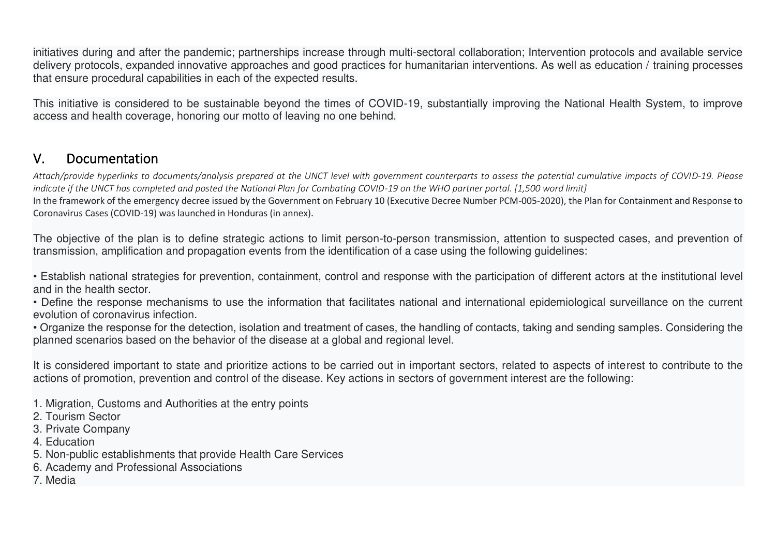initiatives during and after the pandemic; partnerships increase through multi-sectoral collaboration; Intervention protocols and available service delivery protocols, expanded innovative approaches and good practices for humanitarian interventions. As well as education / training processes that ensure procedural capabilities in each of the expected results.

This initiative is considered to be sustainable beyond the times of COVID-19, substantially improving the National Health System, to improve access and health coverage, honoring our motto of leaving no one behind.

#### V. Documentation

*Attach/provide hyperlinks to documents/analysis prepared at the UNCT level with government counterparts to assess the potential cumulative impacts of COVID-19. Please indicate if the UNCT has completed and posted the National Plan for Combating COVID-19 on the WHO partner portal. [1,500 word limit]* 

In the framework of the emergency decree issued by the Government on February 10 (Executive Decree Number PCM-005-2020), the Plan for Containment and Response to Coronavirus Cases (COVID-19) was launched in Honduras (in annex).

The objective of the plan is to define strategic actions to limit person-to-person transmission, attention to suspected cases, and prevention of transmission, amplification and propagation events from the identification of a case using the following guidelines:

• Establish national strategies for prevention, containment, control and response with the participation of different actors at the institutional level and in the health sector.

• Define the response mechanisms to use the information that facilitates national and international epidemiological surveillance on the current evolution of coronavirus infection.

• Organize the response for the detection, isolation and treatment of cases, the handling of contacts, taking and sending samples. Considering the planned scenarios based on the behavior of the disease at a global and regional level.

It is considered important to state and prioritize actions to be carried out in important sectors, related to aspects of interest to contribute to the actions of promotion, prevention and control of the disease. Key actions in sectors of government interest are the following:

1. Migration, Customs and Authorities at the entry points

- 2. Tourism Sector
- 3. Private Company
- 4. Education
- 5. Non-public establishments that provide Health Care Services
- 6. Academy and Professional Associations
- 7. Media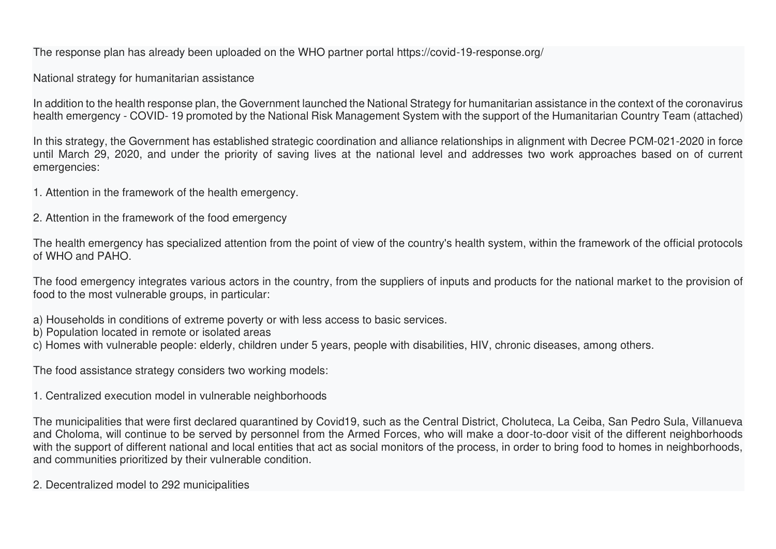The response plan has already been uploaded on the WHO partner portal https://covid-19-response.org/

National strategy for humanitarian assistance

In addition to the health response plan, the Government launched the National Strategy for humanitarian assistance in the context of the coronavirus health emergency - COVID- 19 promoted by the National Risk Management System with the support of the Humanitarian Country Team (attached)

In this strategy, the Government has established strategic coordination and alliance relationships in alignment with Decree PCM-021-2020 in force until March 29, 2020, and under the priority of saving lives at the national level and addresses two work approaches based on of current emergencies:

1. Attention in the framework of the health emergency.

2. Attention in the framework of the food emergency

The health emergency has specialized attention from the point of view of the country's health system, within the framework of the official protocols of WHO and PAHO.

The food emergency integrates various actors in the country, from the suppliers of inputs and products for the national market to the provision of food to the most vulnerable groups, in particular:

a) Households in conditions of extreme poverty or with less access to basic services.

b) Population located in remote or isolated areas

c) Homes with vulnerable people: elderly, children under 5 years, people with disabilities, HIV, chronic diseases, among others.

The food assistance strategy considers two working models:

1. Centralized execution model in vulnerable neighborhoods

The municipalities that were first declared quarantined by Covid19, such as the Central District, Choluteca, La Ceiba, San Pedro Sula, Villanueva and Choloma, will continue to be served by personnel from the Armed Forces, who will make a door-to-door visit of the different neighborhoods with the support of different national and local entities that act as social monitors of the process, in order to bring food to homes in neighborhoods, and communities prioritized by their vulnerable condition.

2. Decentralized model to 292 municipalities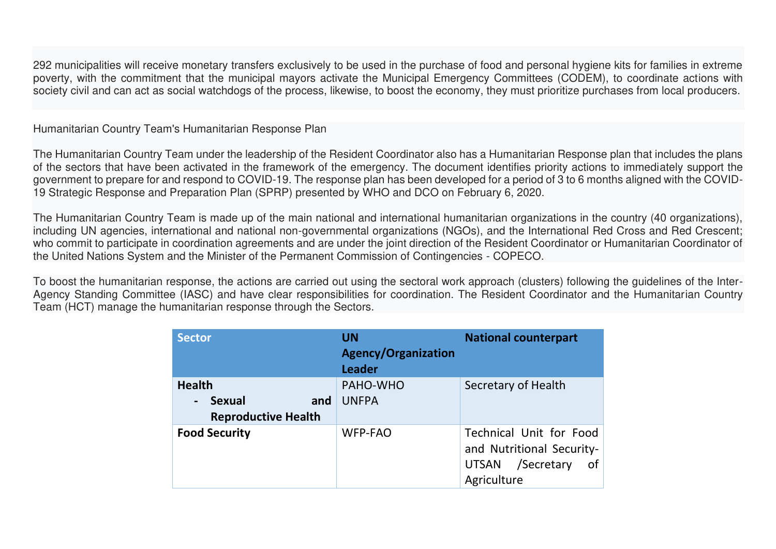292 municipalities will receive monetary transfers exclusively to be used in the purchase of food and personal hygiene kits for families in extreme poverty, with the commitment that the municipal mayors activate the Municipal Emergency Committees (CODEM), to coordinate actions with society civil and can act as social watchdogs of the process, likewise, to boost the economy, they must prioritize purchases from local producers.

Humanitarian Country Team's Humanitarian Response Plan

The Humanitarian Country Team under the leadership of the Resident Coordinator also has a Humanitarian Response plan that includes the plans of the sectors that have been activated in the framework of the emergency. The document identifies priority actions to immediately support the government to prepare for and respond to COVID-19. The response plan has been developed for a period of 3 to 6 months aligned with the COVID-19 Strategic Response and Preparation Plan (SPRP) presented by WHO and DCO on February 6, 2020.

The Humanitarian Country Team is made up of the main national and international humanitarian organizations in the country (40 organizations), including UN agencies, international and national non-governmental organizations (NGOs), and the International Red Cross and Red Crescent; who commit to participate in coordination agreements and are under the joint direction of the Resident Coordinator or Humanitarian Coordinator of the United Nations System and the Minister of the Permanent Commission of Contingencies - COPECO.

To boost the humanitarian response, the actions are carried out using the sectoral work approach (clusters) following the guidelines of the Inter-Agency Standing Committee (IASC) and have clear responsibilities for coordination. The Resident Coordinator and the Humanitarian Country Team (HCT) manage the humanitarian response through the Sectors.

| <b>Sector</b>                                                                         | <b>UN</b><br><b>Agency/Organization</b><br><b>Leader</b> | <b>National counterpart</b>                                                                   |
|---------------------------------------------------------------------------------------|----------------------------------------------------------|-----------------------------------------------------------------------------------------------|
| <b>Health</b><br><b>Sexual</b><br>and<br>$\blacksquare$<br><b>Reproductive Health</b> | PAHO-WHO<br><b>UNFPA</b>                                 | Secretary of Health                                                                           |
| <b>Food Security</b>                                                                  | <b>WFP-FAO</b>                                           | Technical Unit for Food<br>and Nutritional Security-<br>UTSAN /Secretary<br>of<br>Agriculture |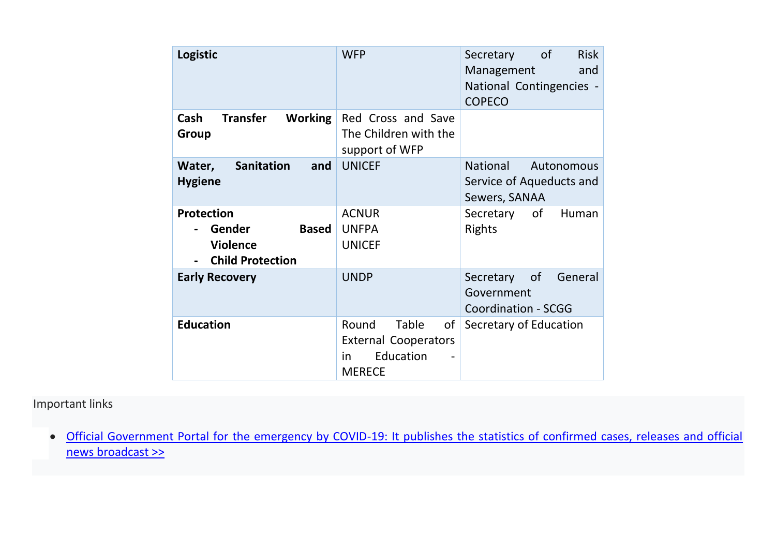| Logistic                                                                                  | <b>WFP</b>                                                                                     | of<br><b>Risk</b><br>Secretary<br>Management<br>and<br>National Contingencies -<br><b>COPECO</b> |
|-------------------------------------------------------------------------------------------|------------------------------------------------------------------------------------------------|--------------------------------------------------------------------------------------------------|
| <b>Transfer</b><br><b>Working</b><br>Cash<br>Group                                        | Red Cross and Save<br>The Children with the<br>support of WFP                                  |                                                                                                  |
| Sanitation<br>and<br>Water,<br><b>Hygiene</b>                                             | <b>UNICEF</b>                                                                                  | <b>National</b><br>Autonomous<br>Service of Aqueducts and<br>Sewers, SANAA                       |
| <b>Protection</b><br>Gender<br><b>Based</b><br><b>Violence</b><br><b>Child Protection</b> | <b>ACNUR</b><br><b>UNFPA</b><br><b>UNICEF</b>                                                  | of<br>Secretary<br>Human<br><b>Rights</b>                                                        |
| <b>Early Recovery</b>                                                                     | <b>UNDP</b>                                                                                    | <sub>of</sub><br>General<br>Secretary<br>Government<br><b>Coordination - SCGG</b>                |
| <b>Education</b>                                                                          | Round<br><b>Table</b><br>of<br><b>External Cooperators</b><br>Education<br>in<br><b>MERECE</b> | Secretary of Education                                                                           |

## Important links

• [Official Government Portal for the emergency by COVID-19: It publishes the statistics of confirmed cases, releases and official](https://covid19honduras.org/)  [news broadcast >>](https://covid19honduras.org/)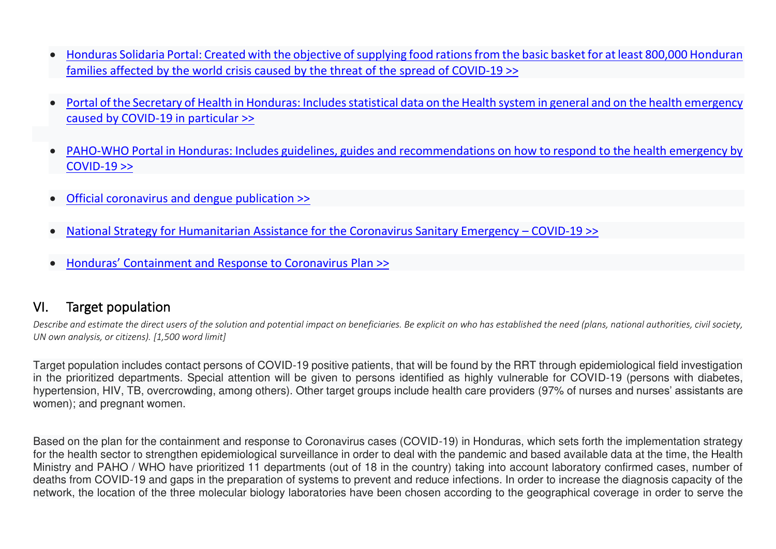- [Honduras Solidaria Portal: Created with the objective of supplying food rations from the basic basket for at least 800,000 Honduran](http://ceniss.gob.hn/HNsolidaria/index.html)  [families affected by the world crisis caused by the threat of the spread of COVID-19 >>](http://ceniss.gob.hn/HNsolidaria/index.html)
- [Portal of the Secretary of Health in Honduras: Includes statistical data on the Health system in general and on the health emergency](http://www.salud.gob.hn/site/)  [caused by COVID-19 in particular >>](http://www.salud.gob.hn/site/)
- [PAHO-WHO Portal in Honduras: Includes guidelines, guides and recommendations on how to respond to the health emergency by](https://www.paho.org/hon/index.php?option=com_content&view=article&id=1877:covid-19-informacion-actualizada-sobre-la-nueva-enfermedad-por-coronavirus&Itemid=229)  [COVID-19 >>](https://www.paho.org/hon/index.php?option=com_content&view=article&id=1877:covid-19-informacion-actualizada-sobre-la-nueva-enfermedad-por-coronavirus&Itemid=229)
- [Official coronavirus and dengue publication >>](file:///C:/Users/norma.garcia/AppData/Local/Temp/7zO4A6AEB35/LinkedDocuments/DENGUE_CORONAVIRUS_10_DE_FEBRERO_2020_35_171.pdf)
- [National Strategy for Humanitarian Assistance for the Coronavirus Sanitary Emergency](file:///C:/Users/norma.garcia/AppData/Local/Temp/7zO4A6AEB35/LinkedDocuments/ESTRATEGIA_NACIONAL_DE_RESPUESTA_A_EMERGENCIA_HUMANITARIA_POR_COVID_19_Final.pdf)  COVID-19 >>
- [Honduras' Containment and Response to Coronavirus](file:///C:/Users/norma.garcia/AppData/Local/Temp/7zO4A6AEB35/LinkedDocuments/Honduras_Plan_para_la_Contencion_y_Respuesta_ante_el_Coronavirus.pdf) Plan >>

## VI. Target population

*Describe and estimate the direct users of the solution and potential impact on beneficiaries. Be explicit on who has established the need (plans, national authorities, civil society, UN own analysis, or citizens). [1,500 word limit]* 

Target population includes contact persons of COVID-19 positive patients, that will be found by the RRT through epidemiological field investigation in the prioritized departments. Special attention will be given to persons identified as highly vulnerable for COVID-19 (persons with diabetes, hypertension, HIV, TB, overcrowding, among others). Other target groups include health care providers (97% of nurses and nurses' assistants are women); and pregnant women.

Based on the plan for the containment and response to Coronavirus cases (COVID-19) in Honduras, which sets forth the implementation strategy for the health sector to strengthen epidemiological surveillance in order to deal with the pandemic and based available data at the time, the Health Ministry and PAHO / WHO have prioritized 11 departments (out of 18 in the country) taking into account laboratory confirmed cases, number of deaths from COVID-19 and gaps in the preparation of systems to prevent and reduce infections. In order to increase the diagnosis capacity of the network, the location of the three molecular biology laboratories have been chosen according to the geographical coverage in order to serve the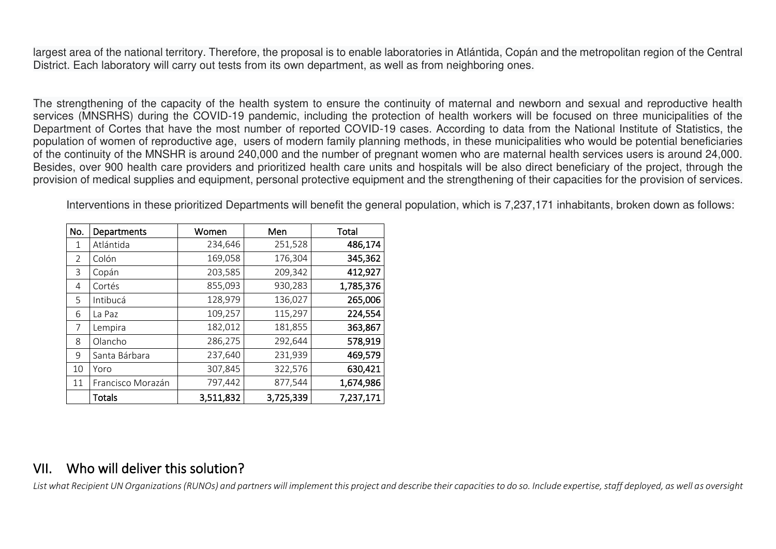largest area of the national territory. Therefore, the proposal is to enable laboratories in Atlántida, Copán and the metropolitan region of the Central District. Each laboratory will carry out tests from its own department, as well as from neighboring ones.

The strengthening of the capacity of the health system to ensure the continuity of maternal and newborn and sexual and reproductive health services (MNSRHS) during the COVID-19 pandemic, including the protection of health workers will be focused on three municipalities of the Department of Cortes that have the most number of reported COVID-19 cases. According to data from the National Institute of Statistics, the population of women of reproductive age, users of modern family planning methods, in these municipalities who would be potential beneficiaries of the continuity of the MNSHR is around 240,000 and the number of pregnant women who are maternal health services users is around 24,000. Besides, over 900 health care providers and prioritized health care units and hospitals will be also direct beneficiary of the project, through the provision of medical supplies and equipment, personal protective equipment and the strengthening of their capacities for the provision of services.

Interventions in these prioritized Departments will benefit the general population, which is 7,237,171 inhabitants, broken down as follows:

| No. | Departments       | Women     | Men       | <b>Total</b> |
|-----|-------------------|-----------|-----------|--------------|
| 1   | Atlántida         | 234,646   | 251,528   | 486,174      |
| 2   | Colón             | 169,058   | 176,304   | 345,362      |
| 3   | Copán             | 203,585   | 209,342   | 412,927      |
| 4   | Cortés            | 855,093   | 930,283   | 1,785,376    |
| 5   | Intibucá          | 128,979   | 136,027   | 265,006      |
| 6   | La Paz            | 109,257   | 115,297   | 224,554      |
| 7   | Lempira           | 182,012   | 181,855   | 363,867      |
| 8   | Olancho           | 286,275   | 292,644   | 578,919      |
| 9   | Santa Bárbara     | 237,640   | 231,939   | 469,579      |
| 10  | Yoro              | 307,845   | 322,576   | 630,421      |
| 11  | Francisco Morazán | 797,442   | 877,544   | 1,674,986    |
|     | <b>Totals</b>     | 3,511,832 | 3,725,339 | 7,237,171    |

## VII. Who will deliver this solution?

*List what Recipient UN Organizations (RUNOs) and partners will implement this project and describe their capacities to do so. Include expertise, staff deployed, as well as oversight*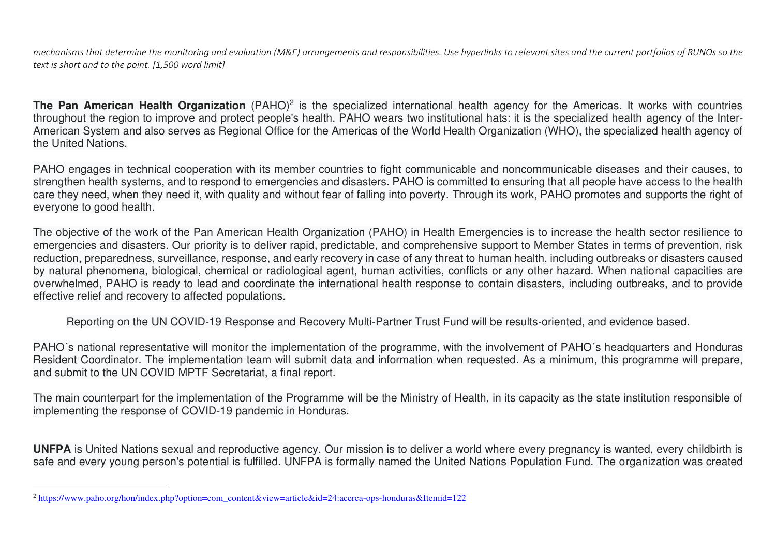*mechanisms that determine the monitoring and evaluation (M&E) arrangements and responsibilities. Use hyperlinks to relevant sites and the current portfolios of RUNOs so the text is short and to the point. [1,500 word limit]* 

**The Pan American Health Organization** [\(PAHO\)](https://www.paho.org/hon/index.php?option=com_content&view=article&id=24:acerca-ops-honduras&Itemid=122)<sup>2</sup> is the specialized international health agency for the Americas. It works with countries throughout the region to improve and protect people's health. PAHO wears two institutional hats: it is the specialized health agency of the Inter-American System and also serves as Regional Office for the Americas of the World Health Organization (WHO), the specialized health agency of the United Nations.

PAHO engages in technical cooperation with its member countries to fight communicable and noncommunicable diseases and their causes, to strengthen health systems, and to respond to emergencies and disasters. PAHO is committed to ensuring that all people have access to the health care they need, when they need it, with quality and without fear of falling into poverty. Through its work, PAHO promotes and supports the right of everyone to good health.

The objective of the work of the Pan American Health Organization (PAHO) in Health Emergencies is to increase the health sector resilience to emergencies and disasters. Our priority is to deliver rapid, predictable, and comprehensive support to Member States in terms of prevention, risk reduction, preparedness, surveillance, response, and early recovery in case of any threat to human health, including outbreaks or disasters caused by natural phenomena, biological, chemical or radiological agent, human activities, conflicts or any other hazard. When national capacities are overwhelmed, PAHO is ready to lead and coordinate the international health response to contain disasters, including outbreaks, and to provide effective relief and recovery to affected populations.

Reporting on the UN COVID-19 Response and Recovery Multi-Partner Trust Fund will be results-oriented, and evidence based.

PAHO´s national representative will monitor the implementation of the programme, with the involvement of PAHO´s headquarters and Honduras Resident Coordinator. The implementation team will submit data and information when requested. As a minimum, this programme will prepare, and submit to the UN COVID MPTF Secretariat, a final report.

The main counterpart for the implementation of the Programme will be the Ministry of Health, in its capacity as the state institution responsible of implementing the response of COVID-19 pandemic in Honduras.

**UNFPA** is United Nations sexual and reproductive agency. Our mission is to deliver a world where every pregnancy is wanted, every childbirth is safe and every young person's potential is fulfilled. UNFPA is formally named the United Nations Population Fund. The organization was created

<sup>&</sup>lt;sup>2</sup> https://www.paho.org/hon/index.php?option=com\_content&view=article&id=24:acerca-ops-honduras&Itemid=122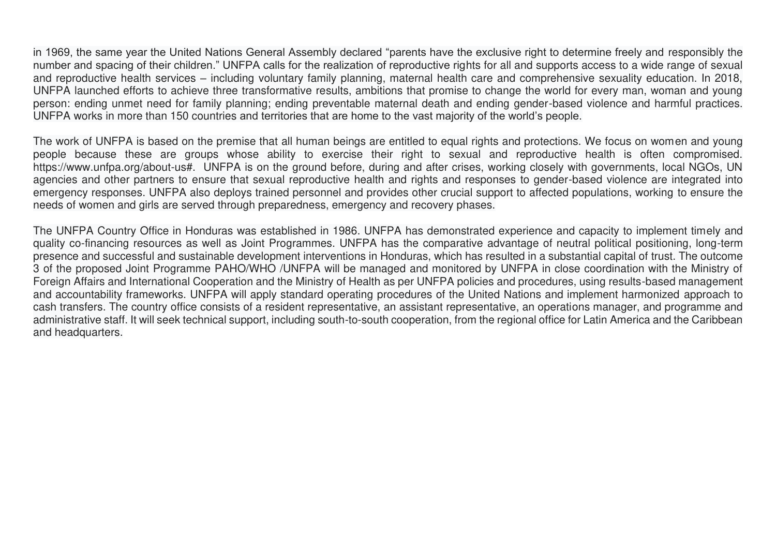in 1969, the same year the United Nations General Assembly declared "parents have the exclusive right to determine freely and responsibly the number and spacing of their children." UNFPA calls for the realization of reproductive rights for all and supports access to a wide range of sexual and reproductive health services – including voluntary family planning, maternal health care and comprehensive sexuality education. In 2018, UNFPA launched efforts to achieve three transformative results, ambitions that promise to change the world for every man, woman and young person: ending unmet need for family planning; ending preventable maternal death and ending gender-based violence and harmful practices. UNFPA works in more than 150 countries and territories that are home to the vast majority of the world's people.

The work of UNFPA is based on the premise that all human beings are entitled to equal rights and protections. We focus on women and young people because these are groups whose ability to exercise their right to sexual and reproductive health is often compromised. https://www.unfpa.org/about-us#. UNFPA is on the ground before, during and after crises, working closely with governments, local NGOs, UN agencies and other partners to ensure that sexual reproductive health and rights and responses to gender-based violence are integrated into emergency responses. UNFPA also deploys trained personnel and provides other crucial support to affected populations, working to ensure the needs of women and girls are served through preparedness, emergency and recovery phases.

The UNFPA Country Office in Honduras was established in 1986. UNFPA has demonstrated experience and capacity to implement timely and quality co-financing resources as well as Joint Programmes. UNFPA has the comparative advantage of neutral political positioning, long-term presence and successful and sustainable development interventions in Honduras, which has resulted in a substantial capital of trust. The outcome 3 of the proposed Joint Programme PAHO/WHO /UNFPA will be managed and monitored by UNFPA in close coordination with the Ministry of Foreign Affairs and International Cooperation and the Ministry of Health as per UNFPA policies and procedures, using results-based management and accountability frameworks. UNFPA will apply standard operating procedures of the United Nations and implement harmonized approach to cash transfers. The country office consists of a resident representative, an assistant representative, an operations manager, and programme and administrative staff. It will seek technical support, including south-to-south cooperation, from the regional office for Latin America and the Caribbean and headquarters.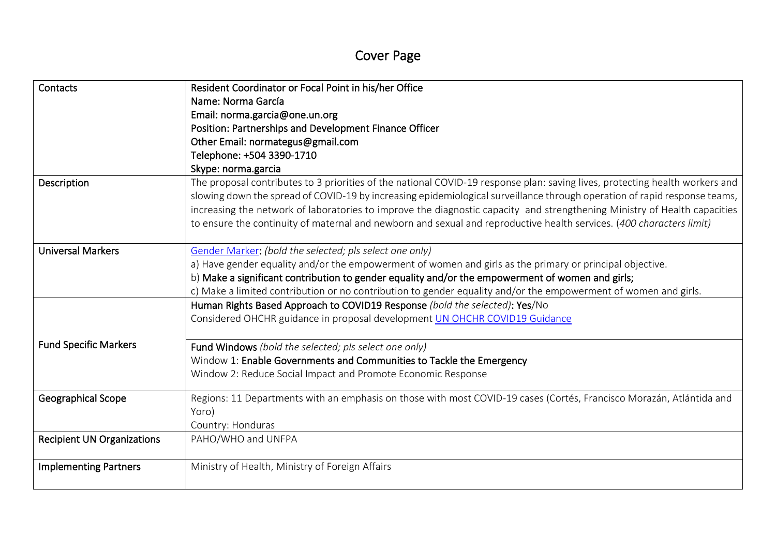# Cover Page

| Contacts                          | Resident Coordinator or Focal Point in his/her Office                                                                        |
|-----------------------------------|------------------------------------------------------------------------------------------------------------------------------|
|                                   | Name: Norma García                                                                                                           |
|                                   | Email: norma.garcia@one.un.org                                                                                               |
|                                   | Position: Partnerships and Development Finance Officer                                                                       |
|                                   | Other Email: normategus@gmail.com                                                                                            |
|                                   | Telephone: +504 3390-1710                                                                                                    |
|                                   | Skype: norma.garcia                                                                                                          |
| Description                       | The proposal contributes to 3 priorities of the national COVID-19 response plan: saving lives, protecting health workers and |
|                                   | slowing down the spread of COVID-19 by increasing epidemiological surveillance through operation of rapid response teams,    |
|                                   | increasing the network of laboratories to improve the diagnostic capacity and strengthening Ministry of Health capacities    |
|                                   | to ensure the continuity of maternal and newborn and sexual and reproductive health services. (400 characters limit)         |
|                                   |                                                                                                                              |
| <b>Universal Markers</b>          | Gender Marker: (bold the selected; pls select one only)                                                                      |
|                                   | a) Have gender equality and/or the empowerment of women and girls as the primary or principal objective.                     |
|                                   | b) Make a significant contribution to gender equality and/or the empowerment of women and girls;                             |
|                                   | c) Make a limited contribution or no contribution to gender equality and/or the empowerment of women and girls.              |
|                                   | Human Rights Based Approach to COVID19 Response (bold the selected): Yes/No                                                  |
|                                   | Considered OHCHR guidance in proposal development UN OHCHR COVID19 Guidance                                                  |
|                                   |                                                                                                                              |
| <b>Fund Specific Markers</b>      | Fund Windows (bold the selected; pls select one only)                                                                        |
|                                   | Window 1: Enable Governments and Communities to Tackle the Emergency                                                         |
|                                   | Window 2: Reduce Social Impact and Promote Economic Response                                                                 |
|                                   |                                                                                                                              |
| <b>Geographical Scope</b>         | Regions: 11 Departments with an emphasis on those with most COVID-19 cases (Cortés, Francisco Morazán, Atlántida and         |
|                                   | Yoro)                                                                                                                        |
|                                   | Country: Honduras                                                                                                            |
| <b>Recipient UN Organizations</b> | PAHO/WHO and UNFPA                                                                                                           |
|                                   |                                                                                                                              |
| <b>Implementing Partners</b>      | Ministry of Health, Ministry of Foreign Affairs                                                                              |
|                                   |                                                                                                                              |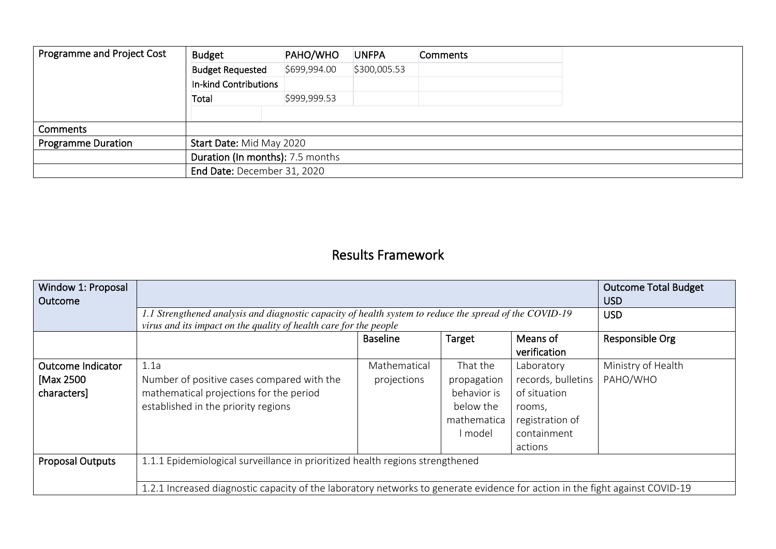| Programme and Project Cost | <b>Budget</b>                    | PAHO/WHO     | <b>UNFPA</b> | <b>Comments</b> |  |  |
|----------------------------|----------------------------------|--------------|--------------|-----------------|--|--|
|                            | <b>Budget Requested</b>          | \$699,994.00 | \$300,005.53 |                 |  |  |
|                            | In-kind Contributions            |              |              |                 |  |  |
|                            | Total                            | \$999,999.53 |              |                 |  |  |
|                            |                                  |              |              |                 |  |  |
| Comments                   |                                  |              |              |                 |  |  |
| <b>Programme Duration</b>  | Start Date: Mid May 2020         |              |              |                 |  |  |
|                            | Duration (In months): 7.5 months |              |              |                 |  |  |
|                            | End Date: December 31, 2020      |              |              |                 |  |  |

## Results Framework

| Window 1: Proposal<br>Outcome                        |                                                                                                                                                                              |                             | <b>Outcome Total Budget</b><br><b>USD</b>                                     |                                                                                                         |                                |
|------------------------------------------------------|------------------------------------------------------------------------------------------------------------------------------------------------------------------------------|-----------------------------|-------------------------------------------------------------------------------|---------------------------------------------------------------------------------------------------------|--------------------------------|
|                                                      | 1.1 Strengthened analysis and diagnostic capacity of health system to reduce the spread of the COVID-19<br>virus and its impact on the quality of health care for the people | <b>USD</b>                  |                                                                               |                                                                                                         |                                |
|                                                      |                                                                                                                                                                              | Responsible Org             |                                                                               |                                                                                                         |                                |
| <b>Outcome Indicator</b><br>[Max 2500<br>characters] | 1.1a<br>Number of positive cases compared with the<br>mathematical projections for the period<br>established in the priority regions                                         | Mathematical<br>projections | That the<br>propagation<br>behavior is<br>below the<br>mathematica<br>l model | Laboratory<br>records, bulletins<br>of situation<br>rooms,<br>registration of<br>containment<br>actions | Ministry of Health<br>PAHO/WHO |
| <b>Proposal Outputs</b>                              | 1.1.1 Epidemiological surveillance in prioritized health regions strengthened                                                                                                |                             |                                                                               |                                                                                                         |                                |
|                                                      | 1.2.1 Increased diagnostic capacity of the laboratory networks to generate evidence for action in the fight against COVID-19                                                 |                             |                                                                               |                                                                                                         |                                |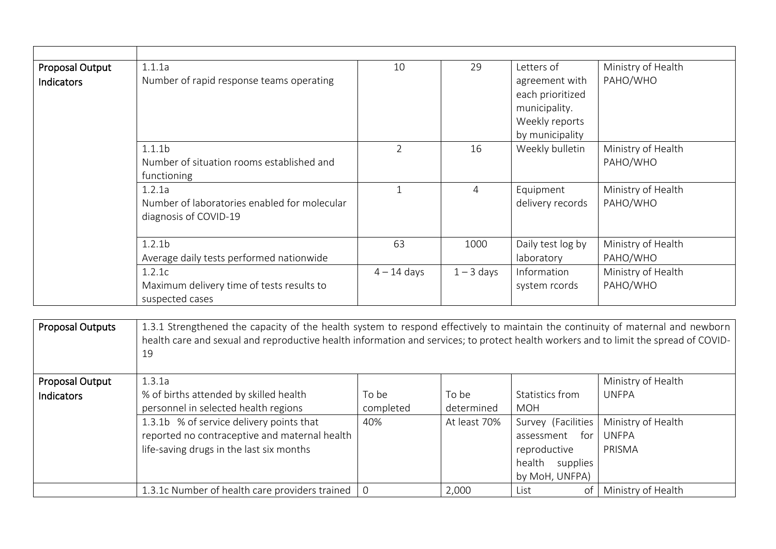| <b>Proposal Output</b>  | 1.1.1a                                                                                                                               | 10             | 29             | Letters of         | Ministry of Health |
|-------------------------|--------------------------------------------------------------------------------------------------------------------------------------|----------------|----------------|--------------------|--------------------|
| Indicators              | Number of rapid response teams operating                                                                                             |                |                | agreement with     | PAHO/WHO           |
|                         |                                                                                                                                      |                |                | each prioritized   |                    |
|                         |                                                                                                                                      |                |                | municipality.      |                    |
|                         |                                                                                                                                      |                |                | Weekly reports     |                    |
|                         |                                                                                                                                      |                |                | by municipality    |                    |
|                         | 1.1.1 <sub>b</sub>                                                                                                                   | $\overline{2}$ | 16             | Weekly bulletin    | Ministry of Health |
|                         | Number of situation rooms established and                                                                                            |                |                |                    | PAHO/WHO           |
|                         | functioning                                                                                                                          |                |                |                    |                    |
|                         | 1.2.1a                                                                                                                               | $\mathbf{1}$   | $\overline{4}$ | Equipment          | Ministry of Health |
|                         | Number of laboratories enabled for molecular                                                                                         |                |                | delivery records   | PAHO/WHO           |
|                         | diagnosis of COVID-19                                                                                                                |                |                |                    |                    |
|                         |                                                                                                                                      |                |                |                    |                    |
|                         | 1.2.1 <sub>b</sub>                                                                                                                   | 63             | 1000           | Daily test log by  | Ministry of Health |
|                         | Average daily tests performed nationwide                                                                                             |                |                | laboratory         | PAHO/WHO           |
|                         | 1.2.1c                                                                                                                               | $4 - 14$ days  | $1 - 3$ days   | Information        | Ministry of Health |
|                         | Maximum delivery time of tests results to                                                                                            |                |                | system rcords      | PAHO/WHO           |
|                         | suspected cases                                                                                                                      |                |                |                    |                    |
|                         |                                                                                                                                      |                |                |                    |                    |
| <b>Proposal Outputs</b> | 1.3.1 Strengthened the capacity of the health system to respond effectively to maintain the continuity of maternal and newborn       |                |                |                    |                    |
|                         | health care and sexual and reproductive health information and services; to protect health workers and to limit the spread of COVID- |                |                |                    |                    |
|                         | 19                                                                                                                                   |                |                |                    |                    |
|                         |                                                                                                                                      |                |                |                    |                    |
| Proposal Output         | 1.3.1a                                                                                                                               |                |                |                    | Ministry of Health |
| Indicators              | % of births attended by skilled health                                                                                               | To be          | To be          | Statistics from    | <b>UNFPA</b>       |
|                         | personnel in selected health regions                                                                                                 | completed      | determined     | <b>MOH</b>         |                    |
|                         | 1.3.1b % of service delivery points that                                                                                             | 40%            | At least 70%   | Survey (Facilities | Ministry of Health |
|                         | reported no contraceptive and maternal health                                                                                        |                |                | assessment for     | <b>UNFPA</b>       |
|                         | life-saving drugs in the last six months                                                                                             |                |                | reproductive       | PRISMA             |
|                         |                                                                                                                                      |                |                | health supplies    |                    |
|                         |                                                                                                                                      |                |                | by MoH, UNFPA)     |                    |

1.3.1c Number of health care providers trained 0 2,000 List of Ministry of Health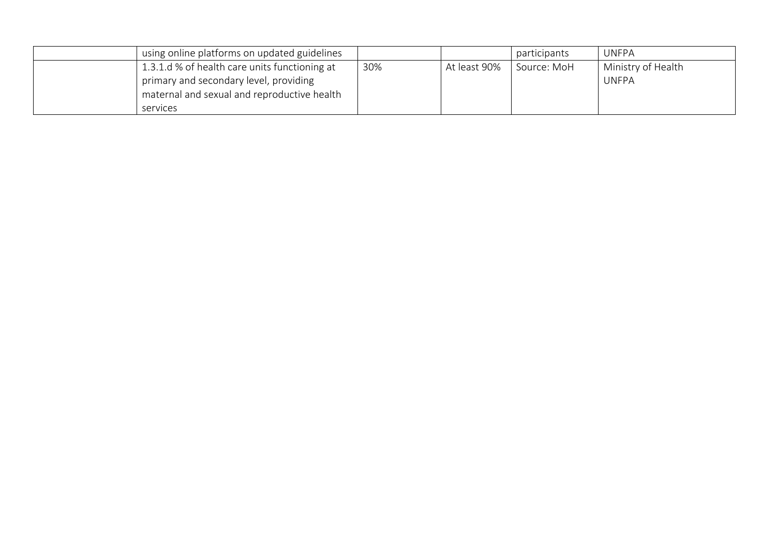| using online platforms on updated guidelines  |     |              | participants | <b>UNFPA</b>       |
|-----------------------------------------------|-----|--------------|--------------|--------------------|
| 1.3.1.d % of health care units functioning at | 30% | At least 90% | Source: MoH  | Ministry of Health |
| primary and secondary level, providing        |     |              |              | <b>UNFPA</b>       |
| maternal and sexual and reproductive health   |     |              |              |                    |
| services                                      |     |              |              |                    |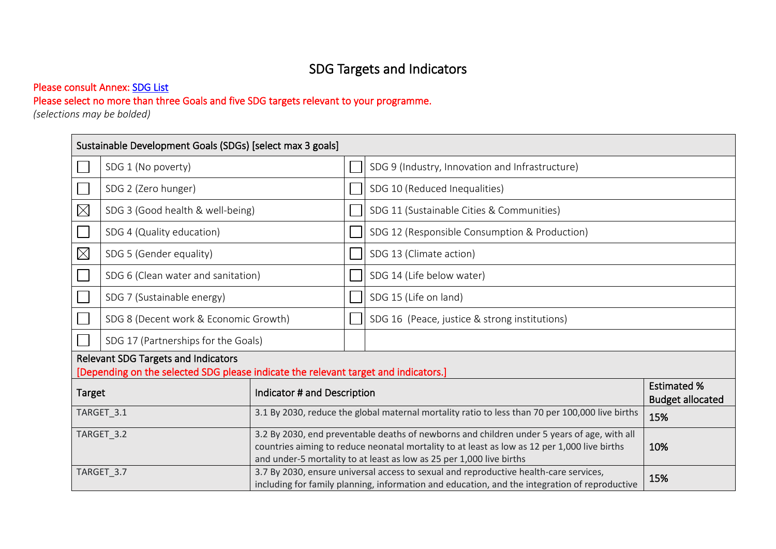# SDG Targets and Indicators

#### Please consult Annex: SDG List

#### Please select no more than three Goals and five SDG targets relevant to your programme.

*(selections may be bolded)* 

|               | Sustainable Development Goals (SDGs) [select max 3 goals]                                                                         |                             |                                                                                                                                                                                                                                                                            |                                                                                                                                                                                               |                                               |  |
|---------------|-----------------------------------------------------------------------------------------------------------------------------------|-----------------------------|----------------------------------------------------------------------------------------------------------------------------------------------------------------------------------------------------------------------------------------------------------------------------|-----------------------------------------------------------------------------------------------------------------------------------------------------------------------------------------------|-----------------------------------------------|--|
|               | SDG 1 (No poverty)                                                                                                                |                             |                                                                                                                                                                                                                                                                            | SDG 9 (Industry, Innovation and Infrastructure)                                                                                                                                               |                                               |  |
|               | SDG 2 (Zero hunger)                                                                                                               |                             |                                                                                                                                                                                                                                                                            | SDG 10 (Reduced Inequalities)                                                                                                                                                                 |                                               |  |
| $\boxtimes$   | SDG 3 (Good health & well-being)                                                                                                  |                             |                                                                                                                                                                                                                                                                            | SDG 11 (Sustainable Cities & Communities)                                                                                                                                                     |                                               |  |
|               | SDG 4 (Quality education)                                                                                                         |                             |                                                                                                                                                                                                                                                                            | SDG 12 (Responsible Consumption & Production)                                                                                                                                                 |                                               |  |
| $\boxtimes$   | SDG 5 (Gender equality)                                                                                                           |                             |                                                                                                                                                                                                                                                                            | SDG 13 (Climate action)                                                                                                                                                                       |                                               |  |
|               | SDG 6 (Clean water and sanitation)                                                                                                |                             |                                                                                                                                                                                                                                                                            | SDG 14 (Life below water)                                                                                                                                                                     |                                               |  |
|               | SDG 7 (Sustainable energy)                                                                                                        |                             |                                                                                                                                                                                                                                                                            | SDG 15 (Life on land)                                                                                                                                                                         |                                               |  |
|               | SDG 8 (Decent work & Economic Growth)                                                                                             |                             |                                                                                                                                                                                                                                                                            | SDG 16 (Peace, justice & strong institutions)                                                                                                                                                 |                                               |  |
|               | SDG 17 (Partnerships for the Goals)                                                                                               |                             |                                                                                                                                                                                                                                                                            |                                                                                                                                                                                               |                                               |  |
|               | <b>Relevant SDG Targets and Indicators</b><br>[Depending on the selected SDG please indicate the relevant target and indicators.] |                             |                                                                                                                                                                                                                                                                            |                                                                                                                                                                                               |                                               |  |
| <b>Target</b> |                                                                                                                                   | Indicator # and Description |                                                                                                                                                                                                                                                                            |                                                                                                                                                                                               | <b>Estimated %</b><br><b>Budget allocated</b> |  |
|               | TARGET_3.1                                                                                                                        |                             |                                                                                                                                                                                                                                                                            | 3.1 By 2030, reduce the global maternal mortality ratio to less than 70 per 100,000 live births                                                                                               | 15%                                           |  |
|               | TARGET_3.2                                                                                                                        |                             | 3.2 By 2030, end preventable deaths of newborns and children under 5 years of age, with all<br>countries aiming to reduce neonatal mortality to at least as low as 12 per 1,000 live births<br>10%<br>and under-5 mortality to at least as low as 25 per 1,000 live births |                                                                                                                                                                                               |                                               |  |
|               | TARGET_3.7                                                                                                                        |                             |                                                                                                                                                                                                                                                                            | 3.7 By 2030, ensure universal access to sexual and reproductive health-care services,<br>15%<br>including for family planning, information and education, and the integration of reproductive |                                               |  |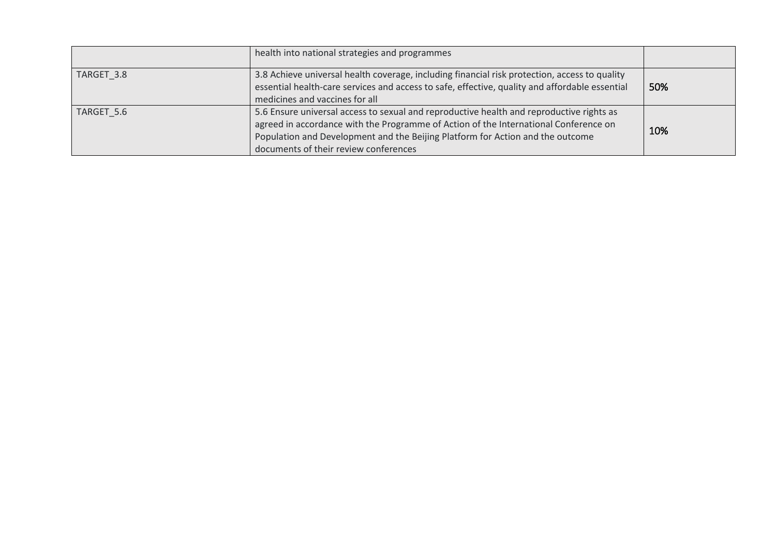|            | health into national strategies and programmes                                                                                                                                                                                                                                                              |     |
|------------|-------------------------------------------------------------------------------------------------------------------------------------------------------------------------------------------------------------------------------------------------------------------------------------------------------------|-----|
| TARGET 3.8 | 3.8 Achieve universal health coverage, including financial risk protection, access to quality<br>essential health-care services and access to safe, effective, quality and affordable essential<br>medicines and vaccines for all                                                                           | 50% |
| TARGET 5.6 | 5.6 Ensure universal access to sexual and reproductive health and reproductive rights as<br>agreed in accordance with the Programme of Action of the International Conference on<br>Population and Development and the Beijing Platform for Action and the outcome<br>documents of their review conferences | 10% |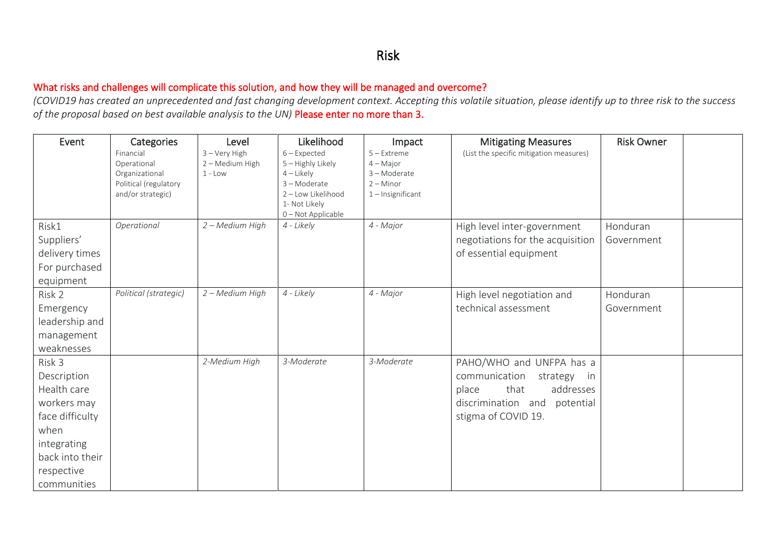#### Risk

#### What risks and challenges will complicate this solution, and how they will be managed and overcome?

*(COVID19 has created an unprecedented and fast changing development context. Accepting this volatile situation, please identify up to three risk to the success of the proposal based on best available analysis to the UN)* Please enter no more than 3.

| Event           | Categories                              | Level           | Likelihood                 | Impact                      | <b>Mitigating Measures</b>              | <b>Risk Owner</b> |  |
|-----------------|-----------------------------------------|-----------------|----------------------------|-----------------------------|-----------------------------------------|-------------------|--|
|                 | Financial                               | 3 - Very High   | $6$ – Expected             | $5 -$ Extreme               | (List the specific mitigation measures) |                   |  |
|                 | Operational                             | 2 - Medium High | 5 - Highly Likely          | $4 - Major$                 |                                         |                   |  |
|                 | Organizational<br>Political (regulatory | $1 - Low$       | $4$ – Likely<br>3-Moderate | 3 - Moderate<br>$2 -$ Minor |                                         |                   |  |
|                 | and/or strategic)                       |                 | 2 - Low Likelihood         | $1$ – Insignificant         |                                         |                   |  |
|                 |                                         |                 | 1- Not Likely              |                             |                                         |                   |  |
|                 |                                         |                 | 0-Not Applicable           |                             |                                         |                   |  |
| Risk1           | Operational                             | 2 - Medium High | 4 - Likely                 | 4 - Major                   | High level inter-government             | Honduran          |  |
| Suppliers'      |                                         |                 |                            |                             | negotiations for the acquisition        | Government        |  |
| delivery times  |                                         |                 |                            |                             | of essential equipment                  |                   |  |
| For purchased   |                                         |                 |                            |                             |                                         |                   |  |
| equipment       |                                         |                 |                            |                             |                                         |                   |  |
| Risk 2          | Political (strategic)                   | 2 - Medium High | 4 - Likely                 | 4 - Major                   | High level negotiation and              | Honduran          |  |
| Emergency       |                                         |                 |                            |                             | technical assessment                    | Government        |  |
| leadership and  |                                         |                 |                            |                             |                                         |                   |  |
| management      |                                         |                 |                            |                             |                                         |                   |  |
| weaknesses      |                                         |                 |                            |                             |                                         |                   |  |
| Risk 3          |                                         | 2-Medium High   | 3-Moderate                 | 3-Moderate                  | PAHO/WHO and UNFPA has a                |                   |  |
| Description     |                                         |                 |                            |                             | communication<br>strategy in            |                   |  |
| Health care     |                                         |                 |                            |                             | that<br>addresses<br>place              |                   |  |
| workers may     |                                         |                 |                            |                             | discrimination and<br>potential         |                   |  |
| face difficulty |                                         |                 |                            |                             | stigma of COVID 19.                     |                   |  |
| when            |                                         |                 |                            |                             |                                         |                   |  |
| integrating     |                                         |                 |                            |                             |                                         |                   |  |
| back into their |                                         |                 |                            |                             |                                         |                   |  |
| respective      |                                         |                 |                            |                             |                                         |                   |  |
| communities     |                                         |                 |                            |                             |                                         |                   |  |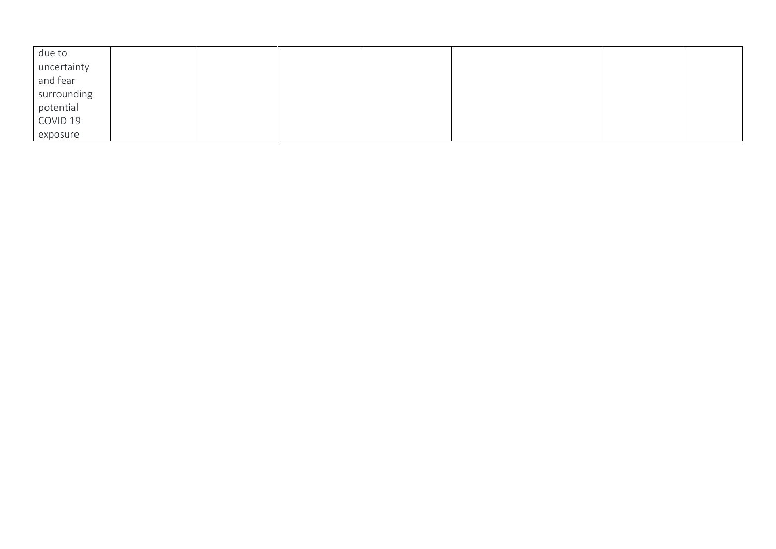| due to      |  |  |  |  |
|-------------|--|--|--|--|
| uncertainty |  |  |  |  |
| and fear    |  |  |  |  |
| surrounding |  |  |  |  |
| potential   |  |  |  |  |
| COVID 19    |  |  |  |  |
| exposure    |  |  |  |  |